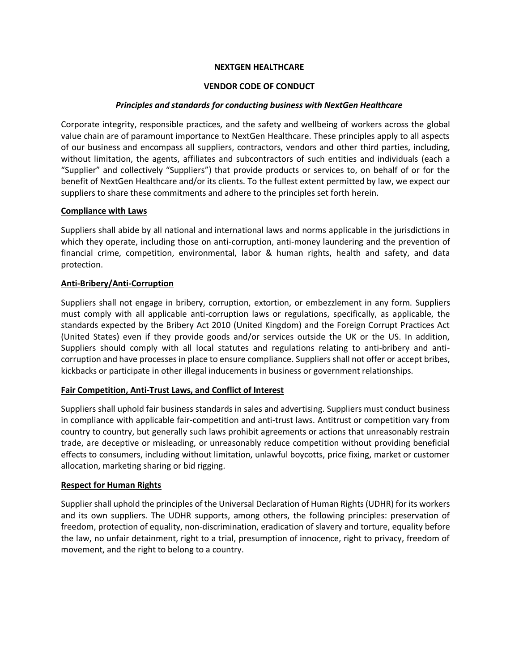### **NEXTGEN HEALTHCARE**

### **VENDOR CODE OF CONDUCT**

### *Principles and standards for conducting business with NextGen Healthcare*

Corporate integrity, responsible practices, and the safety and wellbeing of workers across the global value chain are of paramount importance to NextGen Healthcare. These principles apply to all aspects of our business and encompass all suppliers, contractors, vendors and other third parties, including, without limitation, the agents, affiliates and subcontractors of such entities and individuals (each a "Supplier" and collectively "Suppliers") that provide products or services to, on behalf of or for the benefit of NextGen Healthcare and/or its clients. To the fullest extent permitted by law, we expect our suppliers to share these commitments and adhere to the principles set forth herein.

#### **Compliance with Laws**

Suppliers shall abide by all national and international laws and norms applicable in the jurisdictions in which they operate, including those on anti-corruption, anti-money laundering and the prevention of financial crime, competition, environmental, labor & human rights, health and safety, and data protection.

#### **Anti-Bribery/Anti-Corruption**

Suppliers shall not engage in bribery, corruption, extortion, or embezzlement in any form. Suppliers must comply with all applicable anti-corruption laws or regulations, specifically, as applicable, the standards expected by the Bribery Act 2010 (United Kingdom) and the Foreign Corrupt Practices Act (United States) even if they provide goods and/or services outside the UK or the US. In addition, Suppliers should comply with all local statutes and regulations relating to anti-bribery and anticorruption and have processes in place to ensure compliance. Suppliers shall not offer or accept bribes, kickbacks or participate in other illegal inducements in business or government relationships.

# **Fair Competition, Anti-Trust Laws, and Conflict of Interest**

Suppliers shall uphold fair business standards in sales and advertising. Suppliers must conduct business in compliance with applicable fair-competition and anti-trust laws. Antitrust or competition vary from country to country, but generally such laws prohibit agreements or actions that unreasonably restrain trade, are deceptive or misleading, or unreasonably reduce competition without providing beneficial effects to consumers, including without limitation, unlawful boycotts, price fixing, market or customer allocation, marketing sharing or bid rigging.

#### **Respect for Human Rights**

Supplier shall uphold the principles of the Universal Declaration of Human Rights (UDHR) for its workers and its own suppliers. The UDHR supports, among others, the following principles: preservation of freedom, protection of equality, non-discrimination, eradication of slavery and torture, equality before the law, no unfair detainment, right to a trial, presumption of innocence, right to privacy, freedom of movement, and the right to belong to a country.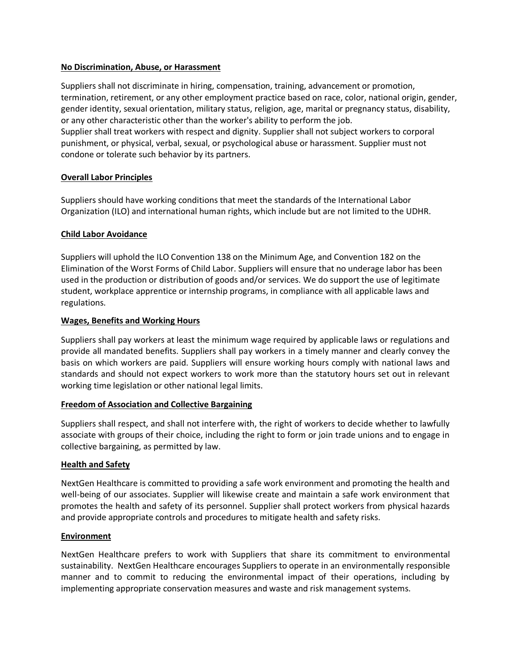### **No Discrimination, Abuse, or Harassment**

Suppliers shall not discriminate in hiring, compensation, training, advancement or promotion, termination, retirement, or any other employment practice based on race, color, national origin, gender, gender identity, sexual orientation, military status, religion, age, marital or pregnancy status, disability, or any other characteristic other than the worker's ability to perform the job. Supplier shall treat workers with respect and dignity. Supplier shall not subject workers to corporal punishment, or physical, verbal, sexual, or psychological abuse or harassment. Supplier must not condone or tolerate such behavior by its partners.

# **Overall Labor Principles**

Suppliers should have working conditions that meet the standards of the International Labor Organization (ILO) and international human rights, which include but are not limited to the UDHR.

# **Child Labor Avoidance**

Suppliers will uphold the ILO Convention 138 on the Minimum Age, and Convention 182 on the Elimination of the Worst Forms of Child Labor. Suppliers will ensure that no underage labor has been used in the production or distribution of goods and/or services. We do support the use of legitimate student, workplace apprentice or internship programs, in compliance with all applicable laws and regulations.

# **Wages, Benefits and Working Hours**

Suppliers shall pay workers at least the minimum wage required by applicable laws or regulations and provide all mandated benefits. Suppliers shall pay workers in a timely manner and clearly convey the basis on which workers are paid. Suppliers will ensure working hours comply with national laws and standards and should not expect workers to work more than the statutory hours set out in relevant working time legislation or other national legal limits.

# **Freedom of Association and Collective Bargaining**

Suppliers shall respect, and shall not interfere with, the right of workers to decide whether to lawfully associate with groups of their choice, including the right to form or join trade unions and to engage in collective bargaining, as permitted by law.

# **Health and Safety**

NextGen Healthcare is committed to providing a safe work environment and promoting the health and well-being of our associates. Supplier will likewise create and maintain a safe work environment that promotes the health and safety of its personnel. Supplier shall protect workers from physical hazards and provide appropriate controls and procedures to mitigate health and safety risks.

#### **Environment**

NextGen Healthcare prefers to work with Suppliers that share its commitment to environmental sustainability. NextGen Healthcare encourages Suppliers to operate in an environmentally responsible manner and to commit to reducing the environmental impact of their operations, including by implementing appropriate conservation measures and waste and risk management systems.